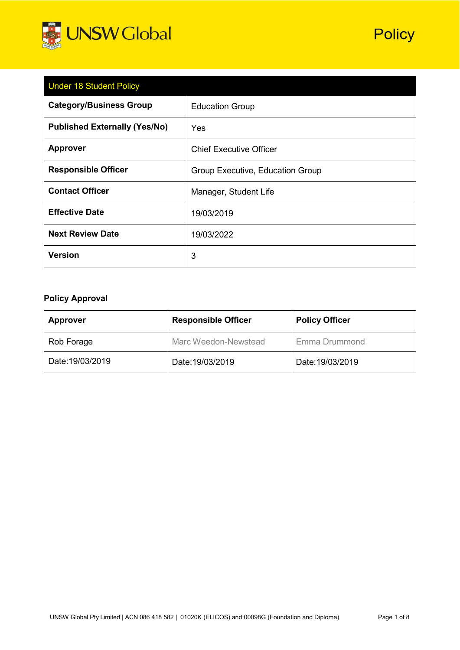

| <b>Under 18 Student Policy</b>       |                                  |  |  |
|--------------------------------------|----------------------------------|--|--|
| <b>Category/Business Group</b>       | <b>Education Group</b>           |  |  |
| <b>Published Externally (Yes/No)</b> | Yes                              |  |  |
| <b>Approver</b>                      | <b>Chief Executive Officer</b>   |  |  |
| <b>Responsible Officer</b>           | Group Executive, Education Group |  |  |
| <b>Contact Officer</b>               | Manager, Student Life            |  |  |
| <b>Effective Date</b>                | 19/03/2019                       |  |  |
| <b>Next Review Date</b>              | 19/03/2022                       |  |  |
| <b>Version</b>                       | 3                                |  |  |

# **Policy Approval**

| <b>Approver</b>  | <b>Responsible Officer</b> | <b>Policy Officer</b> |
|------------------|----------------------------|-----------------------|
| Rob Forage       | Marc Weedon-Newstead       | Emma Drummond         |
| Date: 19/03/2019 | Date: 19/03/2019           | Date: 19/03/2019      |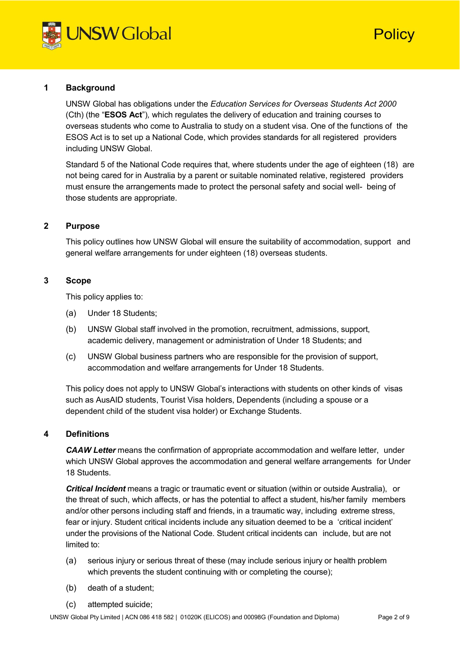

# Policy

#### **1 Background**

UNSW Global has obligations under the *Education Services for Overseas Students Act 2000* (Cth) (the "**ESOS Act**")*,* which regulates the delivery of education and training courses to overseas students who come to Australia to study on a student visa. One of the functions of the ESOS Act is to set up a National Code, which provides standards for all registered providers including UNSW Global.

Standard 5 of the National Code requires that, where students under the age of eighteen (18) are not being cared for in Australia by a parent or suitable nominated relative, registered providers must ensure the arrangements made to protect the personal safety and social well- being of those students are appropriate.

#### **2 Purpose**

This policy outlines how UNSW Global will ensure the suitability of accommodation, support and general welfare arrangements for under eighteen (18) overseas students.

#### **3 Scope**

This policy applies to:

- (a) Under 18 Students;
- (b) UNSW Global staff involved in the promotion, recruitment, admissions, support, academic delivery, management or administration of Under 18 Students; and
- (c) UNSW Global business partners who are responsible for the provision of support, accommodation and welfare arrangements for Under 18 Students.

This policy does not apply to UNSW Global's interactions with students on other kinds of visas such as AusAID students, Tourist Visa holders, Dependents (including a spouse or a dependent child of the student visa holder) or Exchange Students.

#### **4 Definitions**

*CAAW Letter* means the confirmation of appropriate accommodation and welfare letter, under which UNSW Global approves the accommodation and general welfare arrangements for Under 18 Students.

*Critical Incident* means a tragic or traumatic event or situation (within or outside Australia), or the threat of such, which affects, or has the potential to affect a student, his/her family members and/or other persons including staff and friends, in a traumatic way, including extreme stress, fear or injury. Student critical incidents include any situation deemed to be a 'critical incident' under the provisions of the National Code. Student critical incidents can include, but are not limited to:

- (a) serious injury or serious threat of these (may include serious injury or health problem which prevents the student continuing with or completing the course);
- (b) death of a student;
- (c) attempted suicide;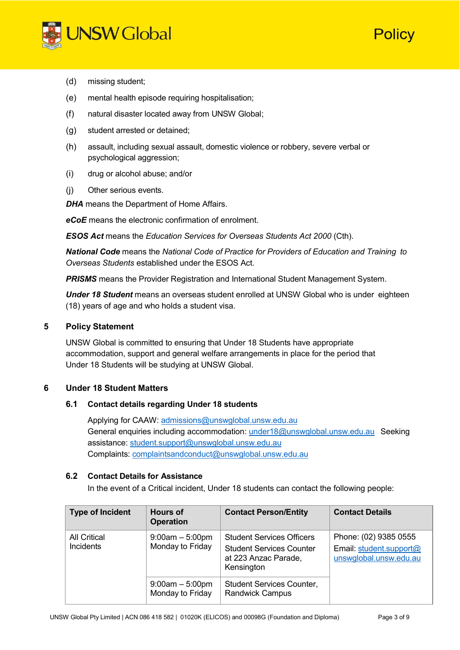

Policy

- (d) missing student;
- (e) mental health episode requiring hospitalisation;
- (f) natural disaster located away from UNSW Global;
- (g) student arrested or detained;
- (h) assault, including sexual assault, domestic violence or robbery, severe verbal or psychological aggression;
- (i) drug or alcohol abuse; and/or
- (j) Other serious events.

**DHA** means the Department of Home Affairs.

*eCoE* means the electronic confirmation of enrolment.

*ESOS Act* means the *Education Services for Overseas Students Act 2000* (Cth).

*National Code* means the *National Code of Practice for Providers of Education and Training to Overseas Students* established under the ESOS Act.

*PRISMS* means the Provider Registration and International Student Management System.

*Under 18 Student* means an overseas student enrolled at UNSW Global who is under eighteen (18) years of age and who holds a student visa.

#### **5 Policy Statement**

UNSW Global is committed to ensuring that Under 18 Students have appropriate accommodation, support and general welfare arrangements in place for the period that Under 18 Students will be studying at UNSW Global.

#### **6 Under 18 Student Matters**

#### **6.1 Contact details regarding Under 18 students**

Applying for CAAW: [admissions@unswglobal.unsw.edu.au](mailto:admissions@unswglobal.unsw.edu.au) General enquiries including accommodation: [under18@unswglobal.unsw.edu.au](mailto:under18@unswglobal.unsw.edu.au) Seeking assistance: [student.support@unswglobal.unsw.edu.au](mailto:student.support@unswglobal.unsw.edu.au) Complaints: [complaintsandconduct@unswglobal.unsw.edu.au](mailto:complaintsandconduct@unswglobal.unsw.edu.au)

#### **6.2 Contact Details for Assistance**

In the event of a Critical incident, Under 18 students can contact the following people:

| <b>Type of Incident</b>                 | <b>Hours of</b><br><b>Operation</b>   | <b>Contact Person/Entity</b>                                                                              | <b>Contact Details</b>                                                     |
|-----------------------------------------|---------------------------------------|-----------------------------------------------------------------------------------------------------------|----------------------------------------------------------------------------|
| <b>All Critical</b><br><b>Incidents</b> | $9:00am - 5:00pm$<br>Monday to Friday | <b>Student Services Officers</b><br><b>Student Services Counter</b><br>at 223 Anzac Parade,<br>Kensington | Phone: (02) 9385 0555<br>Email: student.support@<br>unswglobal.unsw.edu.au |
|                                         | $9:00am - 5:00pm$<br>Monday to Friday | <b>Student Services Counter,</b><br>Randwick Campus                                                       |                                                                            |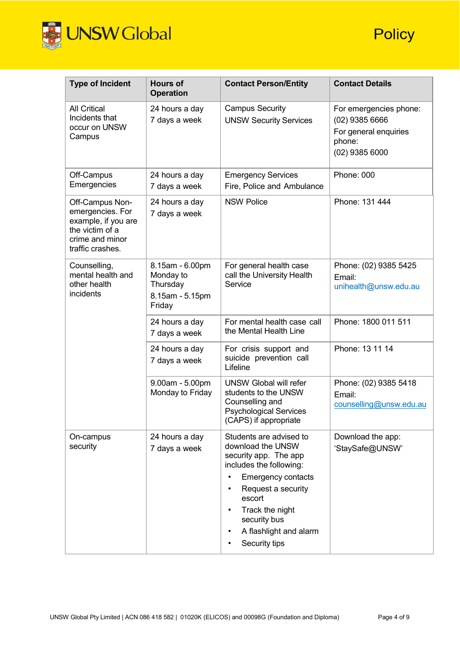

| <b>Type of Incident</b>                                                                                              | <b>Hours of</b><br><b>Operation</b>                                   | <b>Contact Person/Entity</b>                                                                                                                                                                                                                | <b>Contact Details</b>                                                                            |
|----------------------------------------------------------------------------------------------------------------------|-----------------------------------------------------------------------|---------------------------------------------------------------------------------------------------------------------------------------------------------------------------------------------------------------------------------------------|---------------------------------------------------------------------------------------------------|
| <b>All Critical</b><br>Incidents that<br>occur on UNSW<br>Campus                                                     | 24 hours a day<br>7 days a week                                       | <b>Campus Security</b><br><b>UNSW Security Services</b>                                                                                                                                                                                     | For emergencies phone:<br>$(02)$ 9385 6666<br>For general enquiries<br>phone:<br>$(02)$ 9385 6000 |
| Off-Campus<br>Emergencies                                                                                            | 24 hours a day<br>7 days a week                                       | <b>Emergency Services</b><br>Fire, Police and Ambulance                                                                                                                                                                                     | Phone: 000                                                                                        |
| Off-Campus Non-<br>emergencies. For<br>example, if you are<br>the victim of a<br>crime and minor<br>traffic crashes. | 24 hours a day<br>7 days a week                                       | <b>NSW Police</b>                                                                                                                                                                                                                           | Phone: 131 444                                                                                    |
| Counselling,<br>mental health and<br>other health<br>incidents                                                       | 8.15am - 6.00pm<br>Monday to<br>Thursday<br>8.15am - 5.15pm<br>Friday | For general health case<br>call the University Health<br>Service                                                                                                                                                                            | Phone: (02) 9385 5425<br>Email:<br>unihealth@unsw.edu.au                                          |
|                                                                                                                      | 24 hours a day<br>7 days a week                                       | For mental health case call<br>the Mental Health Line                                                                                                                                                                                       | Phone: 1800 011 511                                                                               |
|                                                                                                                      | 24 hours a day<br>7 days a week                                       | For crisis support and<br>suicide prevention call<br>Lifeline                                                                                                                                                                               | Phone: 13 11 14                                                                                   |
|                                                                                                                      | 9.00am - 5.00pm<br>Monday to Friday                                   | <b>UNSW Global will refer</b><br>students to the UNSW<br>Counselling and<br><b>Psychological Services</b><br>(CAPS) if appropriate                                                                                                          | Phone: (02) 9385 5418<br>Email:<br>counselling@unsw.edu.au                                        |
| On-campus<br>security                                                                                                | 24 hours a day<br>7 days a week                                       | Students are advised to<br>download the UNSW<br>security app. The app<br>includes the following:<br><b>Emergency contacts</b><br>Request a security<br>escort<br>Track the night<br>security bus<br>A flashlight and alarm<br>Security tips | Download the app:<br>'StaySafe@UNSW'                                                              |

**Policy**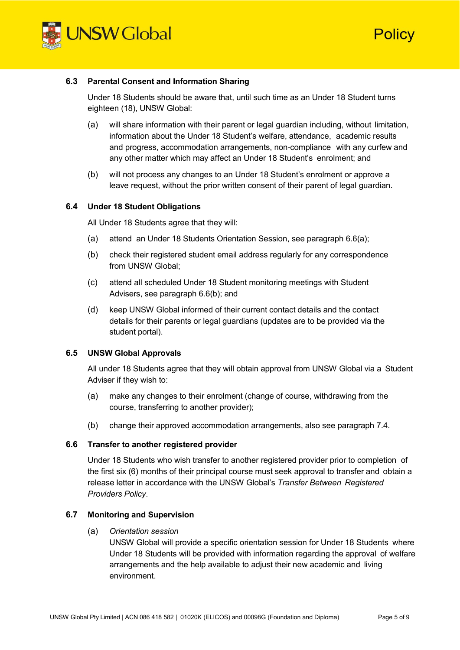

Policy

#### **6.3 Parental Consent and Information Sharing**

Under 18 Students should be aware that, until such time as an Under 18 Student turns eighteen (18), UNSW Global:

- (a) will share information with their parent or legal guardian including, without limitation, information about the Under 18 Student's welfare, attendance, academic results and progress, accommodation arrangements, non-compliance with any curfew and any other matter which may affect an Under 18 Student's enrolment; and
- (b) will not process any changes to an Under 18 Student's enrolment or approve a leave request, without the prior written consent of their parent of legal guardian.

#### **6.4 Under 18 Student Obligations**

All Under 18 Students agree that they will:

- (a) attend an Under 18 Students Orientation Session, see paragraph 6.6(a);
- (b) check their registered student email address regularly for any correspondence from UNSW Global;
- (c) attend all scheduled Under 18 Student monitoring meetings with Student Advisers, see paragraph 6.6(b); and
- (d) keep UNSW Global informed of their current contact details and the contact details for their parents or legal guardians (updates are to be provided via the student portal).

#### **6.5 UNSW Global Approvals**

All under 18 Students agree that they will obtain approval from UNSW Global via a Student Adviser if they wish to:

- (a) make any changes to their enrolment (change of course, withdrawing from the course, transferring to another provider);
- (b) change their approved accommodation arrangements, also see paragraph 7.4.

#### **6.6 Transfer to another registered provider**

Under 18 Students who wish transfer to another registered provider prior to completion of the first six (6) months of their principal course must seek approval to transfer and obtain a release letter in accordance with the UNSW Global's *Transfer Between Registered Providers Policy*.

#### **6.7 Monitoring and Supervision**

(a) *Orientation session*

UNSW Global will provide a specific orientation session for Under 18 Students where Under 18 Students will be provided with information regarding the approval of welfare arrangements and the help available to adjust their new academic and living environment.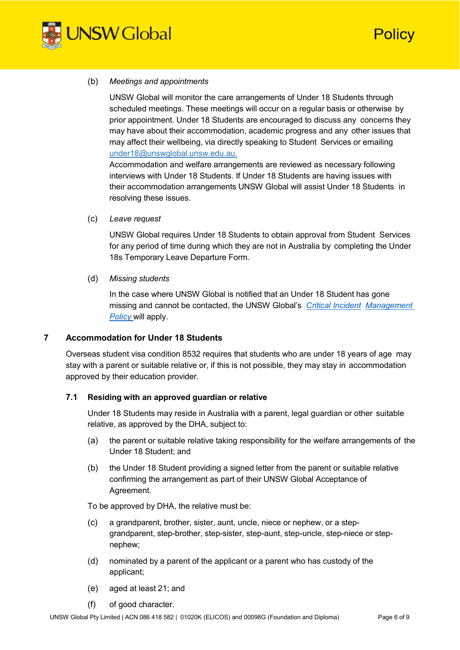

Policy

#### (b) *Meetings and appointments*

UNSW Global will monitor the care arrangements of Under 18 Students through scheduled meetings. These meetings will occur on a regular basis or otherwise by prior appointment. Under 18 Students are encouraged to discuss any concerns they may have about their accommodation, academic progress and any other issues that may affect their wellbeing, via directly speaking to Student Services or emailing [under18@unswglobal.unsw.edu.au.](mailto:under18@unswglobal.unsw.edu.au)

Accommodation and welfare arrangements are reviewed as necessary following interviews with Under 18 Students. If Under 18 Students are having issues with their accommodation arrangements UNSW Global will assist Under 18 Students in resolving these issues.

(c) *Leave request*

UNSW Global requires Under 18 Students to obtain approval from Student Services for any period of time during which they are not in Australia by completing the Under 18s Temporary Leave Departure Form.

(d) *Missing students*

In the case where UNSW Global is notified that an Under 18 Student has gone missing and cannot be contacted, the UNSW Global's *Critical [Incident](https://intranet.unswglobal.unsw.edu.au/Policy/Policy/Critical%20Incident%20Management%20Policy.pdf) [Management](https://intranet.unswglobal.unsw.edu.au/Policy/Policy/Critical%20Incident%20Management%20Policy.pdf) [Policy](https://intranet.unswglobal.unsw.edu.au/Policy/Policy/Critical%20Incident%20Management%20Policy.pdf)* will apply.

## **7 Accommodation for Under 18 Students**

Overseas student visa condition 8532 requires that students who are under 18 years of age may stay with a parent or suitable relative or, if this is not possible, they may stay in accommodation approved by their education provider.

### **7.1 Residing with an approved guardian or relative**

Under 18 Students may reside in Australia with a parent, legal guardian or other suitable relative, as approved by the DHA, subject to:

- (a) the parent or suitable relative taking responsibility for the welfare arrangements of the Under 18 Student; and
- (b) the Under 18 Student providing a signed letter from the parent or suitable relative confirming the arrangement as part of their UNSW Global Acceptance of Agreement.

To be approved by DHA, the relative must be:

- (c) a grandparent, brother, sister, aunt, uncle, niece or nephew, or a stepgrandparent, step-brother, step-sister, step-aunt, step-uncle, step-niece or stepnephew;
- (d) nominated by a parent of the applicant or a parent who has custody of the applicant;
- (e) aged at least 21; and
- (f) of good character.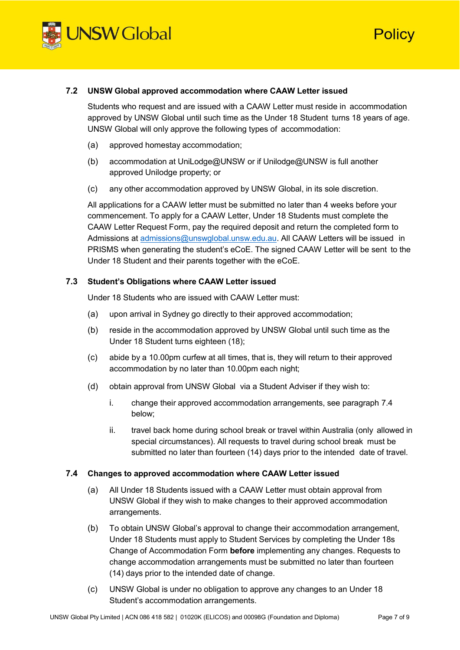

Policy

#### **7.2 UNSW Global approved accommodation where CAAW Letter issued**

Students who request and are issued with a CAAW Letter must reside in accommodation approved by UNSW Global until such time as the Under 18 Student turns 18 years of age. UNSW Global will only approve the following types of accommodation:

- (a) approved homestay accommodation;
- (b) accommodation at UniLodge@UNSW or if Unilodge@UNSW is full another approved Unilodge property; or
- (c) any other accommodation approved by UNSW Global, in its sole discretion.

All applications for a CAAW letter must be submitted no later than 4 weeks before your commencement. To apply for a CAAW Letter, Under 18 Students must complete the CAAW Letter Request Form, pay the required deposit and return the completed form to Admissions at [admissions@unswglobal.unsw.edu.au.](mailto:admissions@unswglobal.unsw.edu.au) All CAAW Letters will be issued in PRISMS when generating the student's eCoE. The signed CAAW Letter will be sent to the Under 18 Student and their parents together with the eCoE.

#### **7.3 Student's Obligations where CAAW Letter issued**

Under 18 Students who are issued with CAAW Letter must:

- (a) upon arrival in Sydney go directly to their approved accommodation;
- (b) reside in the accommodation approved by UNSW Global until such time as the Under 18 Student turns eighteen (18);
- (c) abide by a 10.00pm curfew at all times, that is, they will return to their approved accommodation by no later than 10.00pm each night;
- (d) obtain approval from UNSW Global via a Student Adviser if they wish to:
	- i. change their approved accommodation arrangements, see paragraph 7.4 below;
	- ii. travel back home during school break or travel within Australia (only allowed in special circumstances). All requests to travel during school break must be submitted no later than fourteen (14) days prior to the intended date of travel.

#### **7.4 Changes to approved accommodation where CAAW Letter issued**

- (a) All Under 18 Students issued with a CAAW Letter must obtain approval from UNSW Global if they wish to make changes to their approved accommodation arrangements.
- (b) To obtain UNSW Global's approval to change their accommodation arrangement, Under 18 Students must apply to Student Services by completing the Under 18s Change of Accommodation Form **before** implementing any changes. Requests to change accommodation arrangements must be submitted no later than fourteen (14) days prior to the intended date of change.
- (c) UNSW Global is under no obligation to approve any changes to an Under 18 Student's accommodation arrangements.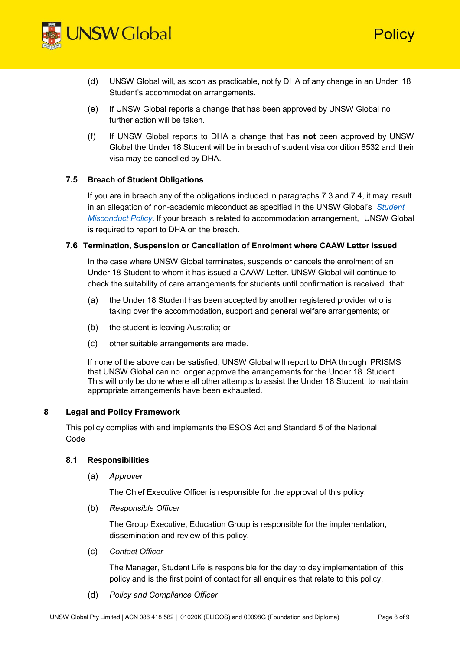

- (d) UNSW Global will, as soon as practicable, notify DHA of any change in an Under 18 Student's accommodation arrangements.
- (e) If UNSW Global reports a change that has been approved by UNSW Global no further action will be taken.
- (f) If UNSW Global reports to DHA a change that has **not** been approved by UNSW Global the Under 18 Student will be in breach of student visa condition 8532 and their visa may be cancelled by DHA.

#### **7.5 Breach of Student Obligations**

If you are in breach any of the obligations included in paragraphs 7.3 and 7.4, it may result in an allegation of non-academic misconduct as specified in the UNSW Global's *[Student](https://unswglobal.unsw.edu.au/documents/ESOS_PDF_Files/Student_Misconduct_Policy.pdf) [Misconduct](https://unswglobal.unsw.edu.au/documents/ESOS_PDF_Files/Student_Misconduct_Policy.pdf) Policy*. If your breach is related to accommodation arrangement, UNSW Global is required to report to DHA on the breach.

#### **7.6 Termination, Suspension or Cancellation of Enrolment where CAAW Letter issued**

In the case where UNSW Global terminates, suspends or cancels the enrolment of an Under 18 Student to whom it has issued a CAAW Letter, UNSW Global will continue to check the suitability of care arrangements for students until confirmation is received that:

- (a) the Under 18 Student has been accepted by another registered provider who is taking over the accommodation, support and general welfare arrangements; or
- (b) the student is leaving Australia; or
- (c) other suitable arrangements are made.

If none of the above can be satisfied, UNSW Global will report to DHA through PRISMS that UNSW Global can no longer approve the arrangements for the Under 18 Student. This will only be done where all other attempts to assist the Under 18 Student to maintain appropriate arrangements have been exhausted.

# **8 Legal and Policy Framework**

This policy complies with and implements the ESOS Act and Standard 5 of the National Code

#### **8.1 Responsibilities**

(a) *Approver*

The Chief Executive Officer is responsible for the approval of this policy.

(b) *Responsible Officer*

The Group Executive, Education Group is responsible for the implementation, dissemination and review of this policy.

(c) *Contact Officer*

The Manager, Student Life is responsible for the day to day implementation of this policy and is the first point of contact for all enquiries that relate to this policy.

(d) *Policy and Compliance Officer*

Policy